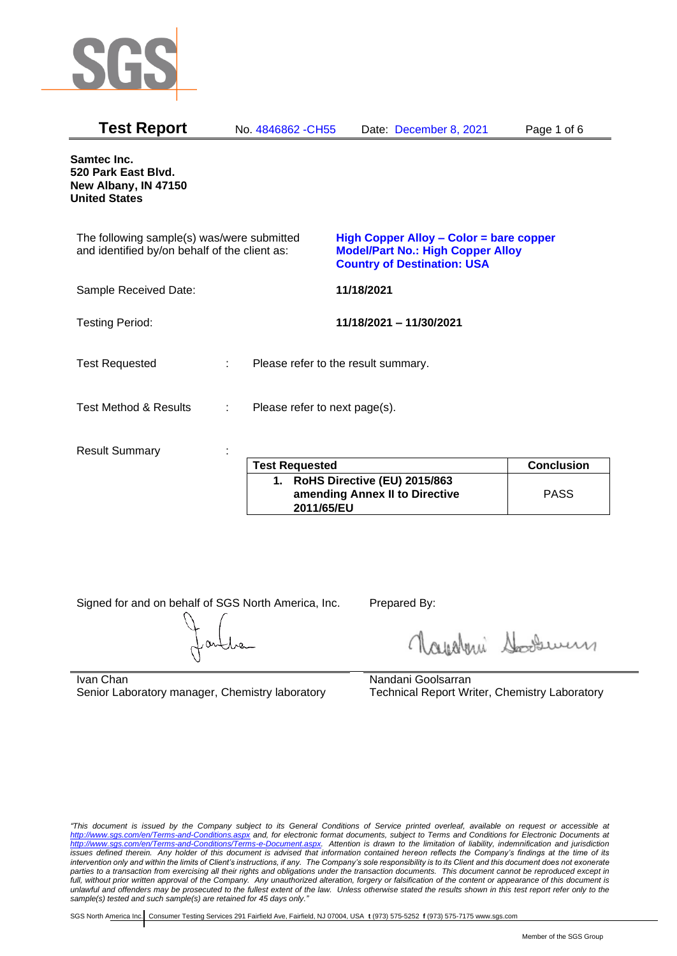

| <b>Test Report</b>                                                                          |   | No. 4846862 - CH55                  |            | Date: December 8, 2021                                                                                                    | Page 1 of 6       |
|---------------------------------------------------------------------------------------------|---|-------------------------------------|------------|---------------------------------------------------------------------------------------------------------------------------|-------------------|
| Samtec Inc.<br>520 Park East Blvd.<br>New Albany, IN 47150<br><b>United States</b>          |   |                                     |            |                                                                                                                           |                   |
| The following sample(s) was/were submitted<br>and identified by/on behalf of the client as: |   |                                     |            | High Copper Alloy - Color = bare copper<br><b>Model/Part No.: High Copper Alloy</b><br><b>Country of Destination: USA</b> |                   |
| Sample Received Date:                                                                       |   |                                     | 11/18/2021 |                                                                                                                           |                   |
| <b>Testing Period:</b>                                                                      |   |                                     |            | 11/18/2021 - 11/30/2021                                                                                                   |                   |
| <b>Test Requested</b>                                                                       |   | Please refer to the result summary. |            |                                                                                                                           |                   |
| <b>Test Method &amp; Results</b>                                                            | ÷ | Please refer to next page(s).       |            |                                                                                                                           |                   |
| <b>Result Summary</b>                                                                       |   |                                     |            |                                                                                                                           |                   |
|                                                                                             |   | <b>Test Requested</b>               |            |                                                                                                                           | <b>Conclusion</b> |

| <b>Test Requested</b>                                                           | <b>Conclusion</b> |
|---------------------------------------------------------------------------------|-------------------|
| 1. RoHS Directive (EU) 2015/863<br>amending Annex II to Directive<br>2011/65/EU | <b>PASS</b>       |

Signed for and on behalf of SGS North America, Inc. Prepared By:

Napoleri Sooseman

Ivan Chan Senior Laboratory manager, Chemistry laboratory Nandani Goolsarran Technical Report Writer, Chemistry Laboratory

*"This document is issued by the Company subject to its General Conditions of Service printed overleaf, available on request or accessible at <http://www.sgs.com/en/Terms-and-Conditions.aspx> and, for electronic format documents, subject to Terms and Conditions for Electronic Documents at [http://www.sgs.com/en/Terms-and-Conditions/Terms-e-Document.aspx.](http://www.sgs.com/en/Terms-and-Conditions/Terms-e-Document.aspx) Attention is drawn to the limitation of liability, indemnification and jurisdiction issues defined therein. Any holder of this document is advised that information contained hereon reflects the Company's findings at the time of its intervention only and within the limits of Client's instructions, if any. The Company's sole responsibility is to its Client and this document does not exonerate parties to a transaction from exercising all their rights and obligations under the transaction documents. This document cannot be reproduced except in full, without prior written approval of the Company. Any unauthorized alteration, forgery or falsification of the content or appearance of this document is unlawful and offenders may be prosecuted to the fullest extent of the law. Unless otherwise stated the results shown in this test report refer only to the sample(s) tested and such sample(s) are retained for 45 days only."*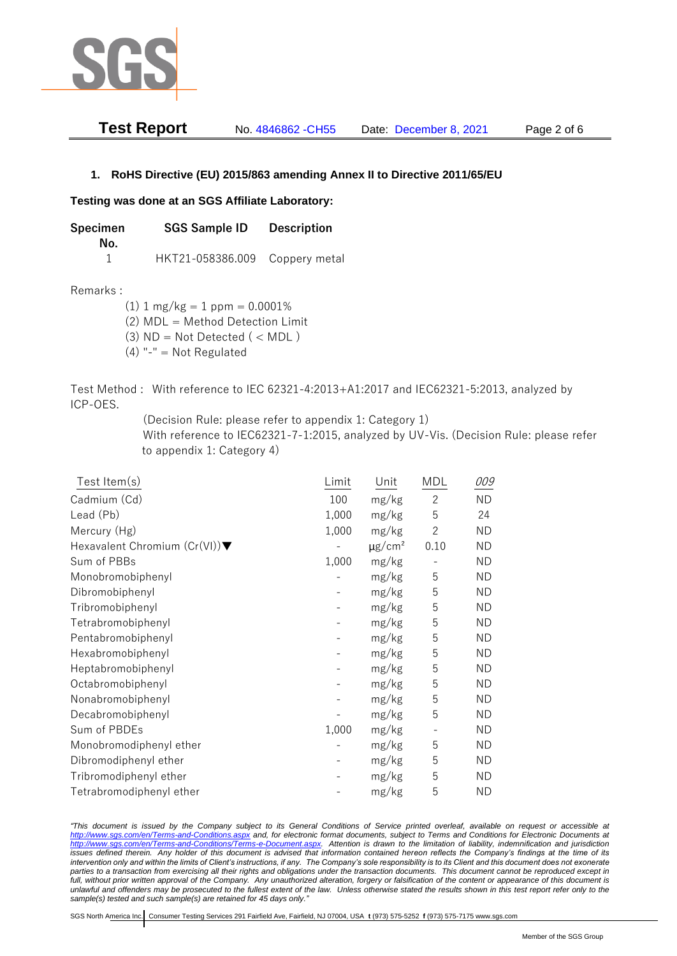

| <b>Test Report</b> | No. 4846862 - CH55 | Date: December 8, 2021 | Page 2 of 6 |
|--------------------|--------------------|------------------------|-------------|
|--------------------|--------------------|------------------------|-------------|

## **1. RoHS Directive (EU) 2015/863 amending Annex II to Directive 2011/65/EU**

## **Testing was done at an SGS Affiliate Laboratory:**

**Specimen SGS Sample ID Description No.** 1 HKT21-058386.009 Coppery metal

Remarks :

 $(1)$  1 mg/kg = 1 ppm = 0.0001%

(2) MDL = Method Detection Limit

- $(3)$  ND = Not Detected  $($  < MDL)
- (4) "-" = Not Regulated

Test Method : With reference to IEC 62321-4:2013+A1:2017 and IEC62321-5:2013, analyzed by ICP-OES.

(Decision Rule: please refer to appendix 1: Category 1)

With reference to IEC62321-7-1:2015, analyzed by UV-Vis. (Decision Rule: please refer to appendix 1: Category 4)

| Test Item(s)                  | Limit | Unit                    | <b>MDL</b>               | 009       |
|-------------------------------|-------|-------------------------|--------------------------|-----------|
| Cadmium (Cd)                  | 100   | mg/kg                   | $\overline{c}$           | <b>ND</b> |
| Lead (Pb)                     | 1,000 | mg/kg                   | 5                        | 24        |
| Mercury (Hg)                  | 1,000 | mg/kg                   | $\mathbf{2}$             | ΝD        |
| Hexavalent Chromium (Cr(VI))▼ |       | $\mu$ g/cm <sup>2</sup> | 0.10                     | <b>ND</b> |
| Sum of PBBs                   | 1,000 | mg/kg                   |                          | <b>ND</b> |
| Monobromobiphenyl             |       | mg/kg                   | 5                        | <b>ND</b> |
| Dibromobiphenyl               |       | mg/kg                   | 5                        | ND.       |
| Tribromobiphenyl              |       | mg/kg                   | 5                        | <b>ND</b> |
| Tetrabromobiphenyl            |       | mg/kg                   | 5                        | <b>ND</b> |
| Pentabromobiphenyl            |       | mg/kg                   | 5                        | ΝD        |
| Hexabromobiphenyl             |       | mg/kg                   | 5                        | ΝD        |
| Heptabromobiphenyl            |       | mg/kg                   | 5                        | <b>ND</b> |
| Octabromobiphenyl             |       | mg/kg                   | 5                        | <b>ND</b> |
| Nonabromobiphenyl             |       | mg/kg                   | 5                        | <b>ND</b> |
| Decabromobiphenyl             |       | mg/kg                   | 5                        | <b>ND</b> |
| Sum of PBDEs                  | 1,000 | mg/kg                   | $\overline{\phantom{a}}$ | <b>ND</b> |
| Monobromodiphenyl ether       |       | mg/kg                   | 5                        | <b>ND</b> |
| Dibromodiphenyl ether         |       | mg/kg                   | 5                        | ND.       |
| Tribromodiphenyl ether        |       | mg/kg                   | 5                        | ND        |
| Tetrabromodiphenyl ether      |       | mg/kg                   | 5                        | <b>ND</b> |

*"This document is issued by the Company subject to its General Conditions of Service printed overleaf, available on request or accessible at <http://www.sgs.com/en/Terms-and-Conditions.aspx> and, for electronic format documents, subject to Terms and Conditions for Electronic Documents at [http://www.sgs.com/en/Terms-and-Conditions/Terms-e-Document.aspx.](http://www.sgs.com/en/Terms-and-Conditions/Terms-e-Document.aspx) Attention is drawn to the limitation of liability, indemnification and jurisdiction issues defined therein. Any holder of this document is advised that information contained hereon reflects the Company's findings at the time of its intervention only and within the limits of Client's instructions, if any. The Company's sole responsibility is to its Client and this document does not exonerate*  parties to a transaction from exercising all their rights and obligations under the transaction documents. This document cannot be reproduced except in *full, without prior written approval of the Company. Any unauthorized alteration, forgery or falsification of the content or appearance of this document is unlawful and offenders may be prosecuted to the fullest extent of the law. Unless otherwise stated the results shown in this test report refer only to the sample(s) tested and such sample(s) are retained for 45 days only."*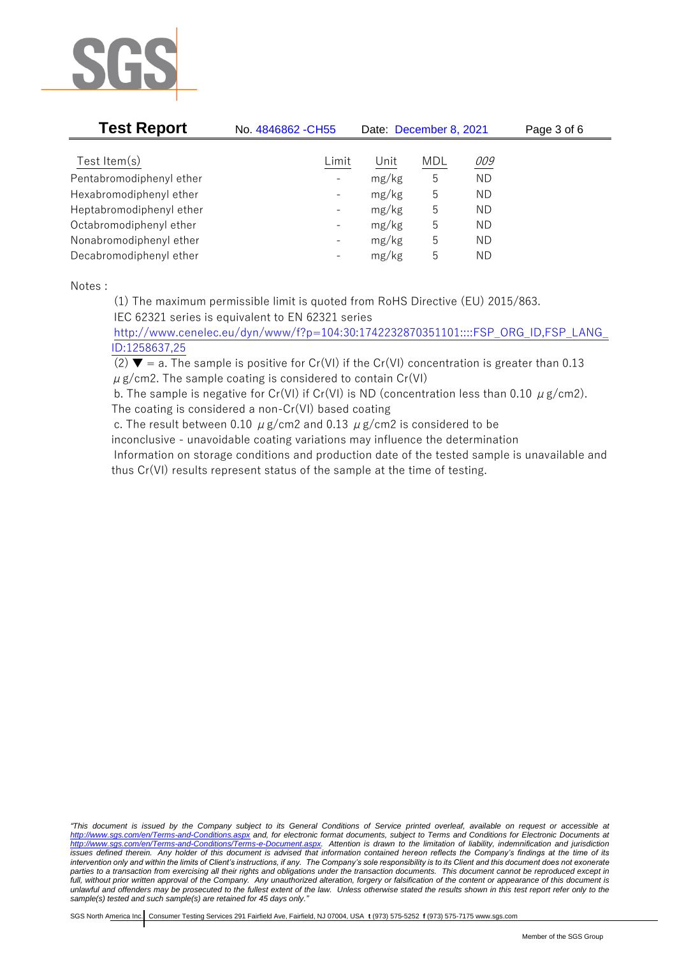

| <b>Test Report</b>       | No. 4846862 - CH55       | Date: December 8, 2021 |     |           | Page 3 of 6 |
|--------------------------|--------------------------|------------------------|-----|-----------|-------------|
| Test Item $(s)$          | Limit                    | Unit                   | MDL | 009       |             |
| Pentabromodiphenyl ether | $\overline{\phantom{a}}$ | mg/kg                  | 5   | <b>ND</b> |             |
| Hexabromodiphenyl ether  | $\overline{\phantom{a}}$ | mg/kg                  | 5   | ND.       |             |
| Heptabromodiphenyl ether | $\overline{\phantom{a}}$ | mg/kg                  | 5   | <b>ND</b> |             |
| Octabromodiphenyl ether  | $\overline{\phantom{a}}$ | mg/kg                  | 5   | <b>ND</b> |             |
| Nonabromodiphenyl ether  | $\overline{\phantom{a}}$ | mg/kg                  | 5   | <b>ND</b> |             |
| Decabromodiphenyl ether  | $\overline{\phantom{a}}$ | mg/kg                  | 5   | ND.       |             |

Notes :

(1) The maximum permissible limit is quoted from RoHS Directive (EU) 2015/863.

IEC 62321 series is equivalent to EN 62321 series

[http://www.cenelec.eu/dyn/www/f?p=104:30:1742232870351101::::FSP\\_ORG\\_ID,FSP\\_LANG\\_](http://www.cenelec.eu/dyn/www/f?p=104:30:1742232870351101::::FSP_ORG_ID,FSP_LANG_ID:1258637,25) [ID:1258637,25](http://www.cenelec.eu/dyn/www/f?p=104:30:1742232870351101::::FSP_ORG_ID,FSP_LANG_ID:1258637,25)

(2)  $\blacktriangledown$  = a. The sample is positive for Cr(VI) if the Cr(VI) concentration is greater than 0.13  $\mu$  g/cm2. The sample coating is considered to contain Cr(VI)

b. The sample is negative for Cr(VI) if Cr(VI) is ND (concentration less than 0.10  $\mu$  g/cm2). The coating is considered a non-Cr(VI) based coating

c. The result between 0.10  $\mu$  g/cm2 and 0.13  $\mu$  g/cm2 is considered to be

inconclusive - unavoidable coating variations may influence the determination

Information on storage conditions and production date of the tested sample is unavailable and thus Cr(VI) results represent status of the sample at the time of testing.

*"This document is issued by the Company subject to its General Conditions of Service printed overleaf, available on request or accessible at <http://www.sgs.com/en/Terms-and-Conditions.aspx> and, for electronic format documents, subject to Terms and Conditions for Electronic Documents at [http://www.sgs.com/en/Terms-and-Conditions/Terms-e-Document.aspx.](http://www.sgs.com/en/Terms-and-Conditions/Terms-e-Document.aspx) Attention is drawn to the limitation of liability, indemnification and jurisdiction issues defined therein. Any holder of this document is advised that information contained hereon reflects the Company's findings at the time of its intervention only and within the limits of Client's instructions, if any. The Company's sole responsibility is to its Client and this document does not exonerate parties to a transaction from exercising all their rights and obligations under the transaction documents. This document cannot be reproduced except in full, without prior written approval of the Company. Any unauthorized alteration, forgery or falsification of the content or appearance of this document is unlawful and offenders may be prosecuted to the fullest extent of the law. Unless otherwise stated the results shown in this test report refer only to the sample(s) tested and such sample(s) are retained for 45 days only."*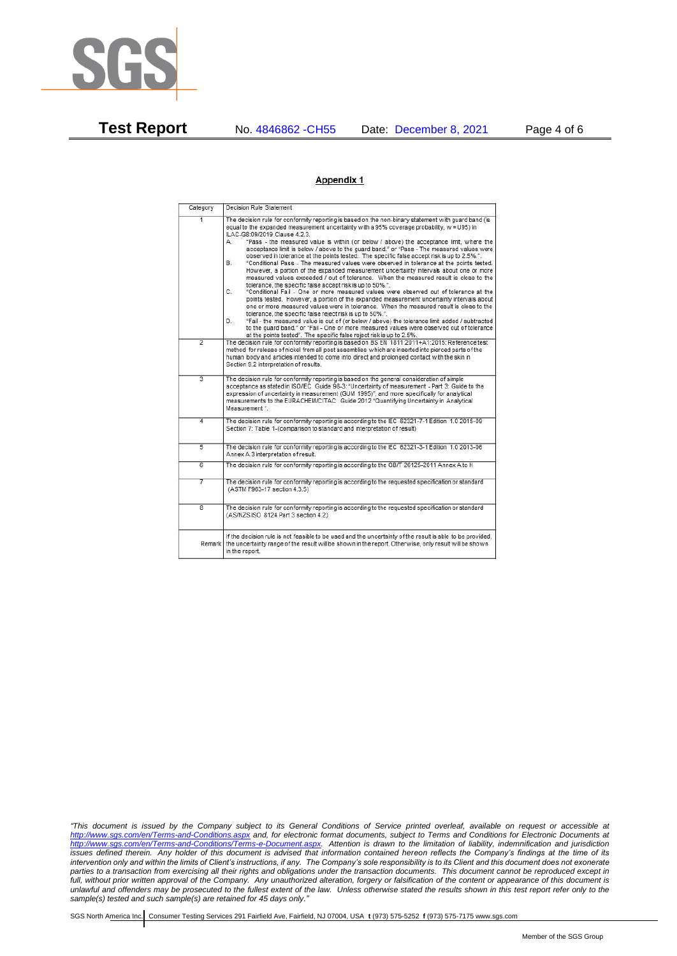

**Test Report** No. 4846862 -CH55 Date: December 8, 2021 Page 4 of 6

## Appendix 1

| Category       | Decision Rule Statement                                                                                                                                                                                                                                                                                                                                                                                                                                                                                                                                                                                                                                                                                                                                                                                                                                                                                                                                                                                                                                                                                                                                                                                                                                                                                                                                                                                                                                                                                            |
|----------------|--------------------------------------------------------------------------------------------------------------------------------------------------------------------------------------------------------------------------------------------------------------------------------------------------------------------------------------------------------------------------------------------------------------------------------------------------------------------------------------------------------------------------------------------------------------------------------------------------------------------------------------------------------------------------------------------------------------------------------------------------------------------------------------------------------------------------------------------------------------------------------------------------------------------------------------------------------------------------------------------------------------------------------------------------------------------------------------------------------------------------------------------------------------------------------------------------------------------------------------------------------------------------------------------------------------------------------------------------------------------------------------------------------------------------------------------------------------------------------------------------------------------|
| $\overline{1}$ | The decision rule for conformity reporting is based on the non-binary statement with quard band (is<br>equal to the expanded measurement uncertainty with a 95% coverage probability, w = U95) in<br>ILAC-G8:09/2019 Clause 4.2.3.<br>"Pass - the measured value is within (or below / above) the acceptance limit, where the<br>А.<br>acceptance limit is below / above to the quard band," or "Pass - The measured values were<br>observed in tolerance at the points tested. The specific false accept risk is up to 2.5%.".<br>B.<br>"Conditional Pass - The measured values were observed in tolerance at the points tested.<br>However, a portion of the expanded measurement uncertainty intervals about one or more<br>measured values exceeded / out of tolerance. When the measured result is close to the<br>tolerance, the specific false accept risk is up to 50%.".<br>C.<br>"Conditional Fail - One or more measured values were observed out of tolerance at the<br>points tested. However, a portion of the expanded measurement uncertainty intervals about<br>one or more measured values were in tolerance. When the measured result is close to the<br>tolerance, the specific false reject risk is up to 50%.".<br>"Fail - the measured value is out of (or below / above) the tolerance limit added / subtracted<br>D.<br>to the quard band." or "Fail - One or more measured values were observed out of tolerance<br>at the points tested". The specific false reject risk is up to 2.5%. |
| $\overline{2}$ | The decision rule for conformity reporting is based on BS EN 1811:2011+A1:2015: Reference test<br>method for release of nickel from all post assemblies which are inserted into pierced parts of the<br>human body and articles intended to come into direct and prolonged contact with the skin in<br>Section 9.2 interpretation of results.                                                                                                                                                                                                                                                                                                                                                                                                                                                                                                                                                                                                                                                                                                                                                                                                                                                                                                                                                                                                                                                                                                                                                                      |
| $\overline{3}$ | The decision rule for conformity reporting is based on the general consideration of simple<br>acceptance as stated in ISO/IEC Guide 98-3: "Uncertainty of measurement - Part 3: Guide to the<br>expression of uncertainty in measurement (GUM 1995)", and more specifically for analytical<br>measurements to the EURACHEM/CITAC Guide 2012 "Quantifying Uncertainty in Analytical<br>Measurement *                                                                                                                                                                                                                                                                                                                                                                                                                                                                                                                                                                                                                                                                                                                                                                                                                                                                                                                                                                                                                                                                                                                |
| 4              | The decision rule for conformity reporting is according to the IEC 62321-7-1 Edition 1.0 2015-09<br>Section 7: Table 1-(comparison to standard and interpretation of result)                                                                                                                                                                                                                                                                                                                                                                                                                                                                                                                                                                                                                                                                                                                                                                                                                                                                                                                                                                                                                                                                                                                                                                                                                                                                                                                                       |
| $\overline{5}$ | The decision rule for conformity reporting is according to the IEC 62321-3-1 Edition 1.0 2013-06<br>Annex A.3 interpretation of result.                                                                                                                                                                                                                                                                                                                                                                                                                                                                                                                                                                                                                                                                                                                                                                                                                                                                                                                                                                                                                                                                                                                                                                                                                                                                                                                                                                            |
| Б              | The decision rule for conformity reporting is according to the GB/T 26125-2011 Annex A to H                                                                                                                                                                                                                                                                                                                                                                                                                                                                                                                                                                                                                                                                                                                                                                                                                                                                                                                                                                                                                                                                                                                                                                                                                                                                                                                                                                                                                        |
| 7              | The decision rule for conformity reporting is according to the requested specification or standard<br>(ASTM F963-17 section 4.3.5)                                                                                                                                                                                                                                                                                                                                                                                                                                                                                                                                                                                                                                                                                                                                                                                                                                                                                                                                                                                                                                                                                                                                                                                                                                                                                                                                                                                 |
| $\overline{8}$ | The decision rule for conformity reporting is according to the requested specification or standard<br>(AS/NZS ISO 8124 Part 3 section 4.2)                                                                                                                                                                                                                                                                                                                                                                                                                                                                                                                                                                                                                                                                                                                                                                                                                                                                                                                                                                                                                                                                                                                                                                                                                                                                                                                                                                         |
| Remark I       | If the decision rule is not feasible to be used and the uncertainty of the result is able to be provided.<br>the uncertainty range of the result will be shown in the report. Otherwise, only result will be shown<br>in the report.                                                                                                                                                                                                                                                                                                                                                                                                                                                                                                                                                                                                                                                                                                                                                                                                                                                                                                                                                                                                                                                                                                                                                                                                                                                                               |

*"This document is issued by the Company subject to its General Conditions of Service printed overleaf, available on request or accessible at <http://www.sgs.com/en/Terms-and-Conditions.aspx> and, for electronic format documents, subject to Terms and Conditions for Electronic Documents at [http://www.sgs.com/en/Terms-and-Conditions/Terms-e-Document.aspx.](http://www.sgs.com/en/Terms-and-Conditions/Terms-e-Document.aspx) Attention is drawn to the limitation of liability, indemnification and jurisdiction issues defined therein. Any holder of this document is advised that information contained hereon reflects the Company's findings at the time of its intervention only and within the limits of Client's instructions, if any. The Company's sole responsibility is to its Client and this document does not exonerate parties to a transaction from exercising all their rights and obligations under the transaction documents. This document cannot be reproduced except in full, without prior written approval of the Company. Any unauthorized alteration, forgery or falsification of the content or appearance of this document is unlawful and offenders may be prosecuted to the fullest extent of the law. Unless otherwise stated the results shown in this test report refer only to the sample(s) tested and such sample(s) are retained for 45 days only."*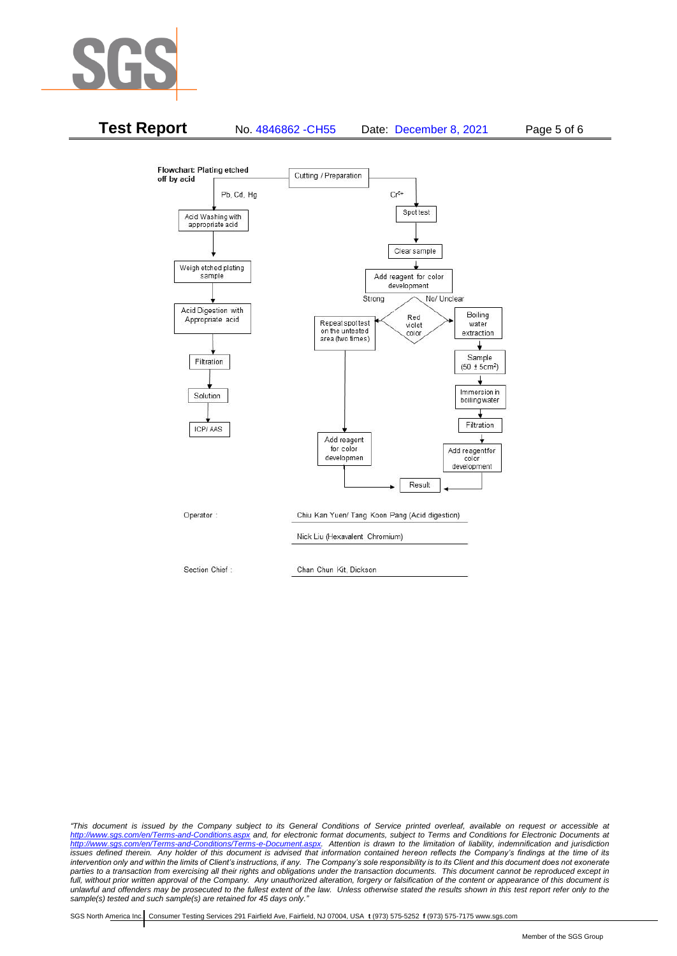



*"This document is issued by the Company subject to its General Conditions of Service printed overleaf, available on request or accessible at <http://www.sgs.com/en/Terms-and-Conditions.aspx> and, for electronic format documents, subject to Terms and Conditions for Electronic Documents at [http://www.sgs.com/en/Terms-and-Conditions/Terms-e-Document.aspx.](http://www.sgs.com/en/Terms-and-Conditions/Terms-e-Document.aspx) Attention is drawn to the limitation of liability, indemnification and jurisdiction issues defined therein. Any holder of this document is advised that information contained hereon reflects the Company's findings at the time of its intervention only and within the limits of Client's instructions, if any. The Company's sole responsibility is to its Client and this document does not exonerate*  parties to a transaction from exercising all their rights and obligations under the transaction documents. This document cannot be reproduced except in *full, without prior written approval of the Company. Any unauthorized alteration, forgery or falsification of the content or appearance of this document is unlawful and offenders may be prosecuted to the fullest extent of the law. Unless otherwise stated the results shown in this test report refer only to the sample(s) tested and such sample(s) are retained for 45 days only."*